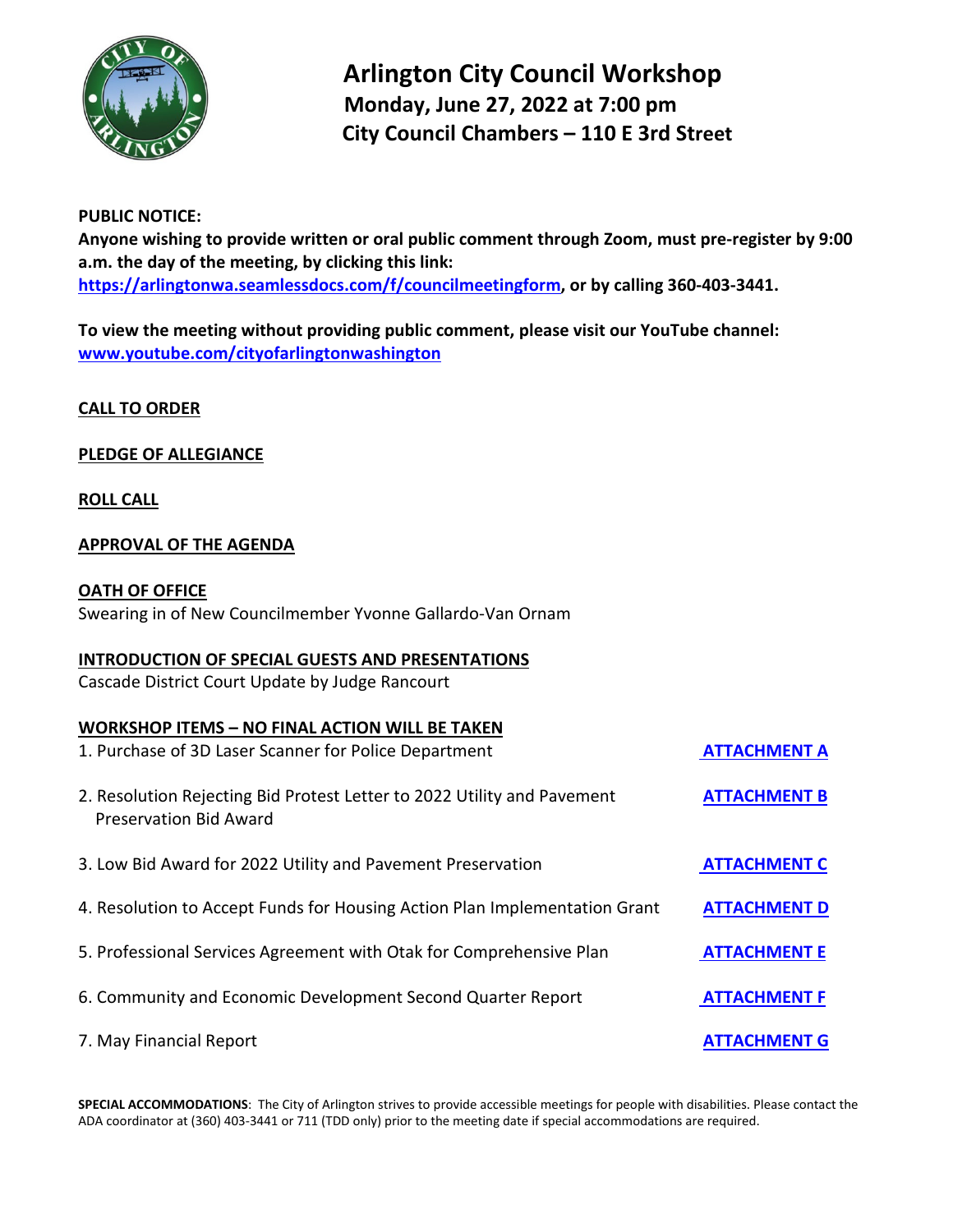

 **Arlington City Council Workshop Monday, June 27, 2022 at 7:00 pm City Council Chambers – 110 E 3rd Street** 

# **PUBLIC NOTICE:**

**Anyone wishing to provide written or oral public comment through Zoom, must pre-register by 9:00 a.m. the day of the meeting, by clicking this link: [https://arlingtonwa.seamlessdocs.com/f/councilmeetingform,](https://arlingtonwa.seamlessdocs.com/f/councilmeetingform) or by calling 360-403-3441.**

**To view the meeting without providing public comment, please visit our YouTube channel: [www.youtube.com/cityofarlingtonwashington](http://www.youtube.com/cityofarlingtonwashington)**

**CALL TO ORDER**

# **PLEDGE OF ALLEGIANCE**

### **ROLL CALL**

# **APPROVAL OF THE AGENDA**

#### **OATH OF OFFICE**

Swearing in of New Councilmember Yvonne Gallardo-Van Ornam

#### **INTRODUCTION OF SPECIAL GUESTS AND PRESENTATIONS**

Cascade District Court Update by Judge Rancourt

### **WORKSHOP ITEMS – NO FINAL ACTION WILL BE TAKEN**

| 1. Purchase of 3D Laser Scanner for Police Department                                                    | <b>ATTACHMENT A</b> |
|----------------------------------------------------------------------------------------------------------|---------------------|
| 2. Resolution Rejecting Bid Protest Letter to 2022 Utility and Pavement<br><b>Preservation Bid Award</b> | <b>ATTACHMENT B</b> |
| 3. Low Bid Award for 2022 Utility and Pavement Preservation                                              | <b>ATTACHMENT C</b> |
| 4. Resolution to Accept Funds for Housing Action Plan Implementation Grant                               | <b>ATTACHMENT D</b> |
| 5. Professional Services Agreement with Otak for Comprehensive Plan                                      | <b>ATTACHMENT E</b> |
| 6. Community and Economic Development Second Quarter Report                                              | <b>ATTACHMENT F</b> |
| 7. May Financial Report                                                                                  | <b>ATTACHMENT G</b> |

**SPECIAL ACCOMMODATIONS**: The City of Arlington strives to provide accessible meetings for people with disabilities. Please contact the ADA coordinator at (360) 403-3441 or 711 (TDD only) prior to the meeting date if special accommodations are required.